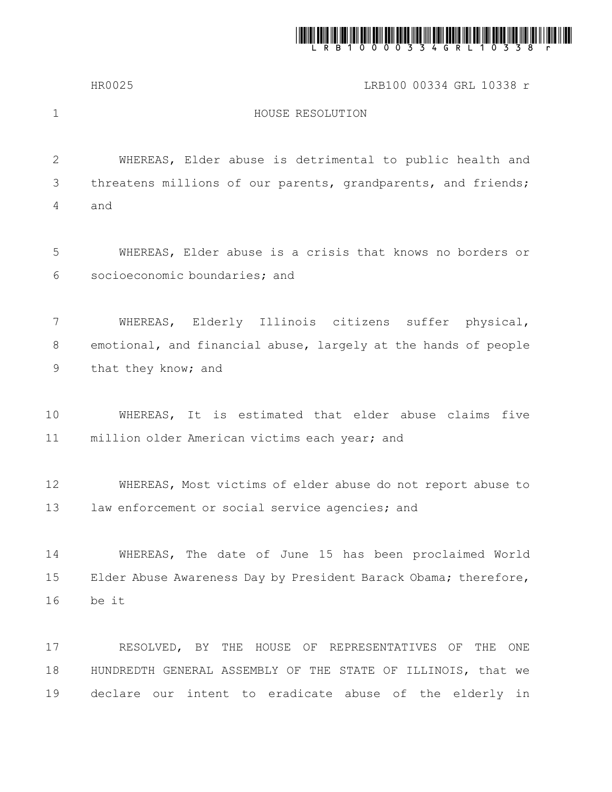

HR0025 LRB100 00334 GRL 10338 r

1

## HOUSE RESOLUTION

WHEREAS, Elder abuse is detrimental to public health and threatens millions of our parents, grandparents, and friends; and 2 3 4

WHEREAS, Elder abuse is a crisis that knows no borders or socioeconomic boundaries; and 5 6

WHEREAS, Elderly Illinois citizens suffer physical, emotional, and financial abuse, largely at the hands of people that they know; and 7 8 9

WHEREAS, It is estimated that elder abuse claims five million older American victims each year; and 10 11

WHEREAS, Most victims of elder abuse do not report abuse to law enforcement or social service agencies; and 12 13

WHEREAS, The date of June 15 has been proclaimed World Elder Abuse Awareness Day by President Barack Obama; therefore, be it 14 15 16

RESOLVED, BY THE HOUSE OF REPRESENTATIVES OF THE ONE HUNDREDTH GENERAL ASSEMBLY OF THE STATE OF ILLINOIS, that we declare our intent to eradicate abuse of the elderly in 17 18 19